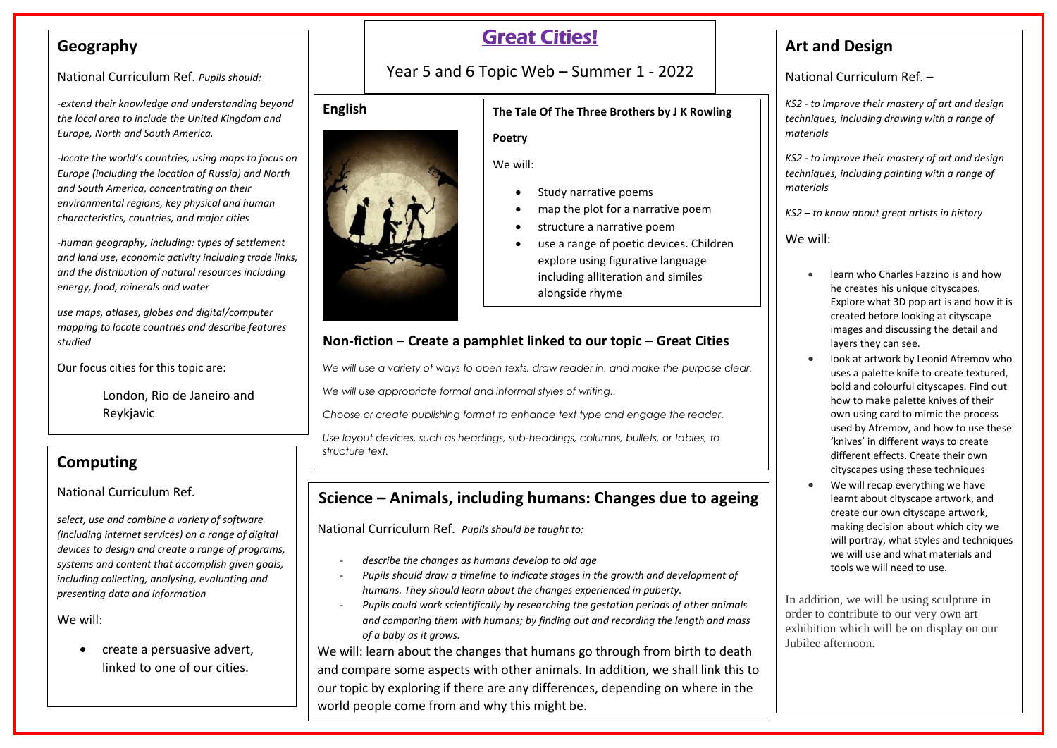## **Geography**

National Curriculum Ref. *Pupils should:*

*-extend their knowledge and understanding beyond the local area to include the United Kingdom and Europe, North and South America.* 

*-locate the world's countries, using maps to focus on Europe (including the location of Russia) and North and South America, concentrating on their environmental regions, key physical and human characteristics, countries, and major cities*

*-human geography, including: types of settlement and land use, economic activity including trade links, and the distribution of natural resources including energy, food, minerals and water*

*use maps, atlases, globes and digital/computer mapping to locate countries and describe features studied*

Our focus cities for this topic are:

London, Rio de Janeiro and Reykjavic

## **Computing**

### National Curriculum Ref.

*select, use and combine a variety of software (including internet services) on a range of digital devices to design and create a range of programs, systems and content that accomplish given goals, including collecting, analysing, evaluating and presenting data and information*

We will:

 create a persuasive advert, linked to one of our cities.

# Great Cities!

Year 5 and 6 Topic Web – Summer 1 - 2022

### **The Tale Of The Three Brothers by J K Rowling**

#### **Poetry**

We will:

- Study narrative poems
- map the plot for a narrative poem
- structure a narrative poem
- use a range of poetic devices. Children explore using figurative language including alliteration and similes alongside rhyme

## **Non-fiction – Create a pamphlet linked to our topic – Great Cities**

*We will use a variety of ways to open texts, draw reader in, and make the purpose clear.*

*We will use appropriate formal and informal styles of writing..*

*Choose or create publishing format to enhance text type and engage the reader.*

*Use layout devices, such as headings, sub-headings, columns, bullets, or tables, to structure text.*

## **Science – Animals, including humans: Changes due to ageing**

National Curriculum Ref. *Pupils should be taught to:*

- *describe the changes as humans develop to old age*
- *Pupils should draw a timeline to indicate stages in the growth and development of humans. They should learn about the changes experienced in puberty.*
- *Pupils could work scientifically by researching the gestation periods of other animals and comparing them with humans; by finding out and recording the length and mass of a baby as it grows.*

We will: learn about the changes that humans go through from birth to death and compare some aspects with other animals. In addition, we shall link this to our topic by exploring if there are any differences, depending on where in the world people come from and why this might be.

## **Art and Design**

National Curriculum Ref. –

*KS2 - to improve their mastery of art and design techniques, including drawing with a range of materials*

*KS2 - to improve their mastery of art and design techniques, including painting with a range of materials*

*KS2 – to know about great artists in history*

We will:

- learn who Charles Fazzino is and how he creates his unique cityscapes. Explore what 3D pop art is and how it is created before looking at cityscape images and discussing the detail and layers they can see.
- look at artwork by Leonid Afremov who uses a palette knife to create textured, bold and colourful cityscapes. Find out how to make palette knives of their own using card to mimic the process used by Afremov, and how to use these 'knives' in different ways to create different effects. Create their own cityscapes using these techniques
- We will recap everything we have learnt about cityscape artwork, and create our own cityscape artwork, making decision about which city we will portray, what styles and techniques we will use and what materials and tools we will need to use.

In addition, we will be using sculpture in order to contribute to our very own art exhibition which will be on display on our Jubilee afternoon.

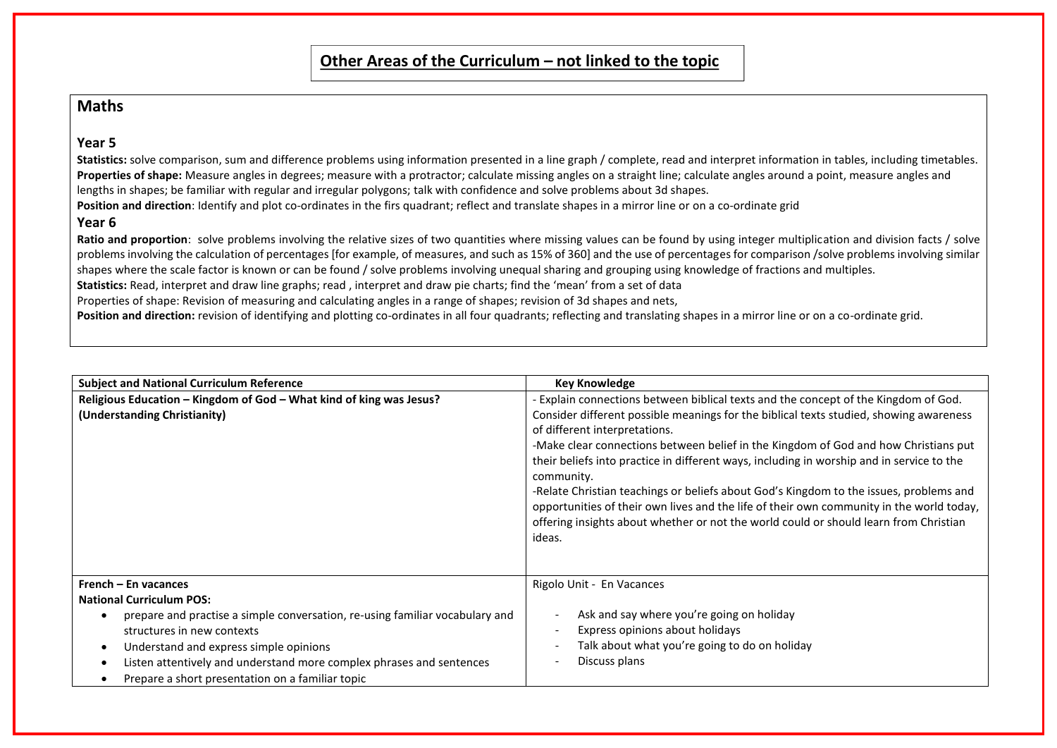### **Maths**

#### **Year 5**

Statistics: solve comparison, sum and difference problems using information presented in a line graph / complete, read and interpret information in tables, including timetables. **Properties of shape:** Measure angles in degrees; measure with a protractor; calculate missing angles on a straight line; calculate angles around a point, measure angles and lengths in shapes; be familiar with regular and irregular polygons; talk with confidence and solve problems about 3d shapes.

**Position and direction**: Identify and plot co-ordinates in the firs quadrant; reflect and translate shapes in a mirror line or on a co-ordinate grid

#### **Year 6**

Ratio and proportion: solve problems involving the relative sizes of two quantities where missing values can be found by using integer multiplication and division facts / solve problems involving the calculation of percentages [for example, of measures, and such as 15% of 360] and the use of percentages for comparison /solve problems involving similar shapes where the scale factor is known or can be found / solve problems involving unequal sharing and grouping using knowledge of fractions and multiples.

**Statistics:** Read, interpret and draw line graphs; read , interpret and draw pie charts; find the 'mean' from a set of data

Properties of shape: Revision of measuring and calculating angles in a range of shapes; revision of 3d shapes and nets,

Position and direction: revision of identifying and plotting co-ordinates in all four quadrants; reflecting and translating shapes in a mirror line or on a co-ordinate grid.

| <b>Subject and National Curriculum Reference</b>                                  | <b>Key Knowledge</b>                                                                                                                                                               |
|-----------------------------------------------------------------------------------|------------------------------------------------------------------------------------------------------------------------------------------------------------------------------------|
| Religious Education - Kingdom of God - What kind of king was Jesus?               | - Explain connections between biblical texts and the concept of the Kingdom of God.                                                                                                |
| (Understanding Christianity)                                                      | Consider different possible meanings for the biblical texts studied, showing awareness                                                                                             |
|                                                                                   | of different interpretations.                                                                                                                                                      |
|                                                                                   | -Make clear connections between belief in the Kingdom of God and how Christians put                                                                                                |
|                                                                                   | their beliefs into practice in different ways, including in worship and in service to the                                                                                          |
|                                                                                   | community.                                                                                                                                                                         |
|                                                                                   | -Relate Christian teachings or beliefs about God's Kingdom to the issues, problems and<br>opportunities of their own lives and the life of their own community in the world today, |
|                                                                                   | offering insights about whether or not the world could or should learn from Christian                                                                                              |
|                                                                                   | ideas.                                                                                                                                                                             |
|                                                                                   |                                                                                                                                                                                    |
|                                                                                   |                                                                                                                                                                                    |
| French – En vacances                                                              | Rigolo Unit - En Vacances                                                                                                                                                          |
| <b>National Curriculum POS:</b>                                                   |                                                                                                                                                                                    |
| prepare and practise a simple conversation, re-using familiar vocabulary and<br>٠ | Ask and say where you're going on holiday                                                                                                                                          |
| structures in new contexts                                                        | Express opinions about holidays                                                                                                                                                    |
| Understand and express simple opinions<br>$\bullet$                               | Talk about what you're going to do on holiday                                                                                                                                      |
| Listen attentively and understand more complex phrases and sentences<br>٠         | Discuss plans                                                                                                                                                                      |
| Prepare a short presentation on a familiar topic                                  |                                                                                                                                                                                    |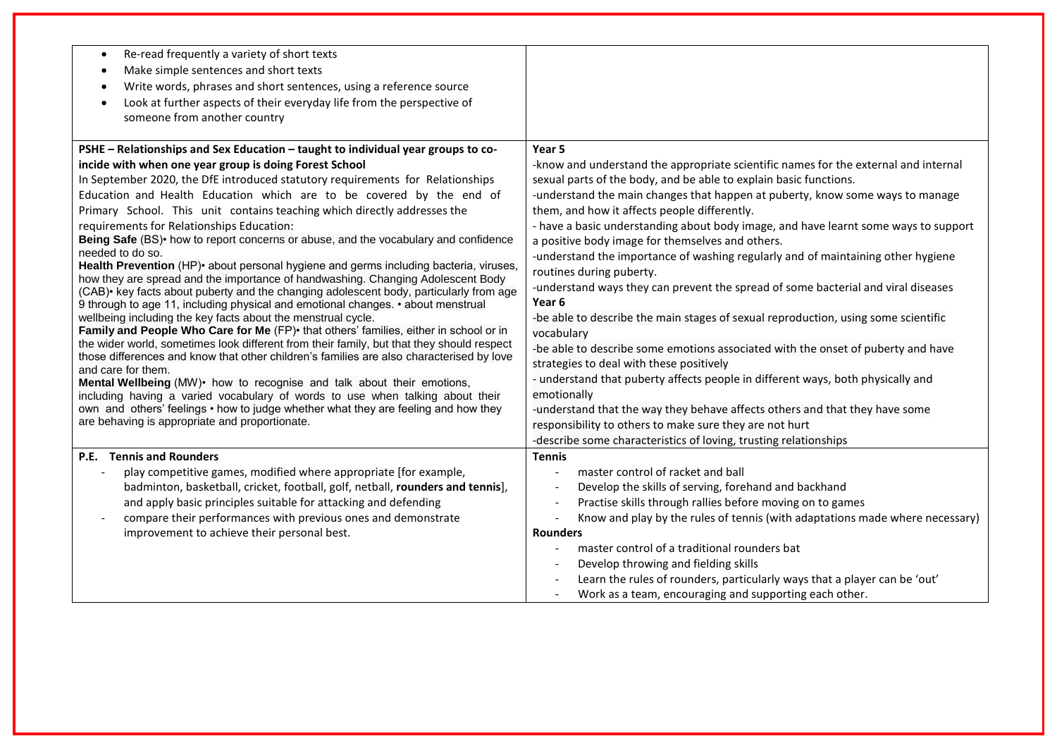| Re-read frequently a variety of short texts<br>$\bullet$                                                                                                                              |                                                                                                          |
|---------------------------------------------------------------------------------------------------------------------------------------------------------------------------------------|----------------------------------------------------------------------------------------------------------|
| Make simple sentences and short texts<br>$\bullet$                                                                                                                                    |                                                                                                          |
| Write words, phrases and short sentences, using a reference source<br>$\bullet$                                                                                                       |                                                                                                          |
| Look at further aspects of their everyday life from the perspective of<br>$\bullet$                                                                                                   |                                                                                                          |
| someone from another country                                                                                                                                                          |                                                                                                          |
|                                                                                                                                                                                       |                                                                                                          |
| PSHE - Relationships and Sex Education - taught to individual year groups to co-                                                                                                      | Year 5                                                                                                   |
| incide with when one year group is doing Forest School                                                                                                                                | -know and understand the appropriate scientific names for the external and internal                      |
| In September 2020, the DfE introduced statutory requirements for Relationships                                                                                                        | sexual parts of the body, and be able to explain basic functions.                                        |
| Education and Health Education which are to be covered by the end of                                                                                                                  | -understand the main changes that happen at puberty, know some ways to manage                            |
| Primary School. This unit contains teaching which directly addresses the                                                                                                              | them, and how it affects people differently.                                                             |
| requirements for Relationships Education:                                                                                                                                             | - have a basic understanding about body image, and have learnt some ways to support                      |
| Being Safe (BS) • how to report concerns or abuse, and the vocabulary and confidence                                                                                                  | a positive body image for themselves and others.                                                         |
| needed to do so.                                                                                                                                                                      | -understand the importance of washing regularly and of maintaining other hygiene                         |
| Health Prevention (HP)• about personal hygiene and germs including bacteria, viruses,<br>how they are spread and the importance of handwashing. Changing Adolescent Body              | routines during puberty.                                                                                 |
| (CAB) key facts about puberty and the changing adolescent body, particularly from age                                                                                                 | -understand ways they can prevent the spread of some bacterial and viral diseases                        |
| 9 through to age 11, including physical and emotional changes. • about menstrual                                                                                                      | Year <sub>6</sub>                                                                                        |
| wellbeing including the key facts about the menstrual cycle.                                                                                                                          | -be able to describe the main stages of sexual reproduction, using some scientific                       |
| Family and People Who Care for Me (FP) that others' families, either in school or in                                                                                                  | vocabulary                                                                                               |
| the wider world, sometimes look different from their family, but that they should respect<br>those differences and know that other children's families are also characterised by love | -be able to describe some emotions associated with the onset of puberty and have                         |
| and care for them.                                                                                                                                                                    | strategies to deal with these positively                                                                 |
| Mental Wellbeing (MW)• how to recognise and talk about their emotions,                                                                                                                | - understand that puberty affects people in different ways, both physically and                          |
| including having a varied vocabulary of words to use when talking about their                                                                                                         | emotionally                                                                                              |
| own and others' feelings • how to judge whether what they are feeling and how they                                                                                                    | -understand that the way they behave affects others and that they have some                              |
| are behaving is appropriate and proportionate.                                                                                                                                        | responsibility to others to make sure they are not hurt                                                  |
|                                                                                                                                                                                       | -describe some characteristics of loving, trusting relationships                                         |
| P.E. Tennis and Rounders                                                                                                                                                              | <b>Tennis</b>                                                                                            |
| play competitive games, modified where appropriate [for example,<br>$\blacksquare$                                                                                                    | master control of racket and ball<br>$\blacksquare$                                                      |
| badminton, basketball, cricket, football, golf, netball, rounders and tennis],                                                                                                        | Develop the skills of serving, forehand and backhand                                                     |
| and apply basic principles suitable for attacking and defending                                                                                                                       | Practise skills through rallies before moving on to games                                                |
| compare their performances with previous ones and demonstrate<br>$\overline{\phantom{a}}$                                                                                             | Know and play by the rules of tennis (with adaptations made where necessary)<br>$\overline{\phantom{a}}$ |
| improvement to achieve their personal best.                                                                                                                                           | <b>Rounders</b>                                                                                          |
|                                                                                                                                                                                       | master control of a traditional rounders bat<br>$\blacksquare$                                           |
|                                                                                                                                                                                       | Develop throwing and fielding skills                                                                     |
|                                                                                                                                                                                       | Learn the rules of rounders, particularly ways that a player can be 'out'                                |
|                                                                                                                                                                                       | Work as a team, encouraging and supporting each other.                                                   |